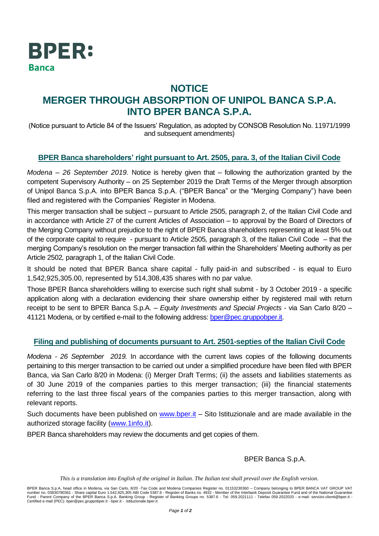

## **NOTICE MERGER THROUGH ABSORPTION OF UNIPOL BANCA S.P.A. INTO BPER BANCA S.P.A.**

(Notice pursuant to Article 84 of the Issuers' Regulation, as adopted by CONSOB Resolution No. 11971/1999 and subsequent amendments)

## **BPER Banca shareholders' right pursuant to Art. 2505, para. 3, of the Italian Civil Code**

*Modena – 26 September 2019.* Notice is hereby given that – following the authorization granted by the competent Supervisory Authority – on 25 September 2019 the Draft Terms of the Merger through absorption of Unipol Banca S.p.A. into BPER Banca S.p.A. ("BPER Banca" or the "Merging Company") have been filed and registered with the Companies' Register in Modena.

This merger transaction shall be subject – pursuant to Article 2505, paragraph 2, of the Italian Civil Code and in accordance with Article 27 of the current Articles of Association – to approval by the Board of Directors of the Merging Company without prejudice to the right of BPER Banca shareholders representing at least 5% out of the corporate capital to require - pursuant to Article 2505*,* paragraph 3, of the Italian Civil Code – that the merging Company's resolution on the merger transaction fall within the Shareholders' Meeting authority as per Article 2502*,* paragraph 1, of the Italian Civil Code.

It should be noted that BPER Banca share capital - fully paid-in and subscribed - is equal to Euro 1,542,925,305.00, represented by 514,308,435 shares with no par value.

Those BPER Banca shareholders willing to exercise such right shall submit - by 3 October 2019 - a specific application along with a declaration evidencing their share ownership either by registered mail with return receipt to be sent to BPER Banca S.p.A. *– Equity Investments and Special Projects* - via San Carlo 8/20 – 41121 Modena, or by certified e-mail to the following address: [bper@pec.gruppobper.it.](mailto:bper@pec.gruppobper.it)

## **Filing and publishing of documents pursuant to Art. 2501-septies of the Italian Civil Code**

*Modena - 26 September 2019.* In accordance with the current laws copies of the following documents pertaining to this merger transaction to be carried out under a simplified procedure have been filed with BPER Banca, via San Carlo 8/20 in Modena: (i) Merger Draft Terms; (ii) the assets and liabilities statements as of 30 June 2019 of the companies parties to this merger transaction; (iii) the financial statements referring to the last three fiscal years of the companies parties to this merger transaction, along with relevant reports.

Such documents have been published on [www.bper.it](http://www.bper.it/) - Sito Istituzionale and are made available in the authorized storage facility [\(www.1info.it\)](http://www.1info.it/).

BPER Banca shareholders may review the documents and get copies of them.

BPER Banca S.p.A.

*This is a translation into English of the original in Italian. The Italian text shall prevail over the English version.*

BPER Banca S.p.A, head office in Modena, via San Carlo, 8/20 -Tax Code and Modena Companies Register no. 01153230360 – Company belonging to BPER BANCA VAT GROUP VAT number no. 03830780361 - Share capital Euro 1,542,925,305 ABI Code 5387.6 - Register of Banks no. 4932 - Member of the Interbank Deposit Guarantee Fund and of the National Guarantee<br>Fund - Parent Company of the BPER Banca Certified e-mail (PEC): bper@pec.gruppobper.it - bper.it - istituzionale.bper.it